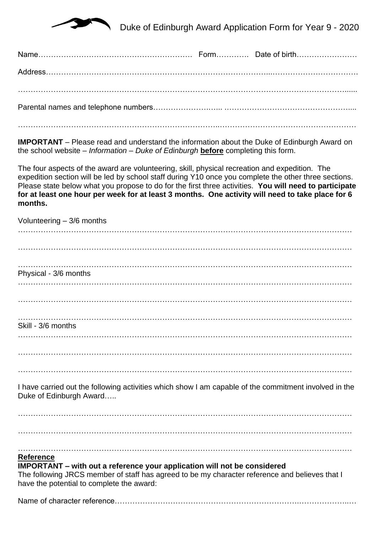

……………………………………………………………………..………………………………………………

**IMPORTANT** – Please read and understand the information about the Duke of Edinburgh Award on the school website – *Information – Duke of Edinburgh* **before** completing this form.

The four aspects of the award are volunteering, skill, physical recreation and expedition. The expedition section will be led by school staff during Y10 once you complete the other three sections. Please state below what you propose to do for the first three activities. **You will need to participate for at least one hour per week for at least 3 months. One activity will need to take place for 6 months.**

| Volunteering $-3/6$ months                                                                                                                                                                                                     |
|--------------------------------------------------------------------------------------------------------------------------------------------------------------------------------------------------------------------------------|
|                                                                                                                                                                                                                                |
|                                                                                                                                                                                                                                |
| Physical - 3/6 months                                                                                                                                                                                                          |
|                                                                                                                                                                                                                                |
|                                                                                                                                                                                                                                |
| Skill - 3/6 months                                                                                                                                                                                                             |
|                                                                                                                                                                                                                                |
|                                                                                                                                                                                                                                |
|                                                                                                                                                                                                                                |
| I have carried out the following activities which show I am capable of the commitment involved in the<br>Duke of Edinburgh Award                                                                                               |
|                                                                                                                                                                                                                                |
|                                                                                                                                                                                                                                |
|                                                                                                                                                                                                                                |
| <b>Reference</b>                                                                                                                                                                                                               |
| <b>IMPORTANT</b> – with out a reference your application will not be considered<br>The following JRCS member of staff has agreed to be my character reference and believes that I<br>have the potential to complete the award: |

Name of character reference……………………………………………………………….………………..…